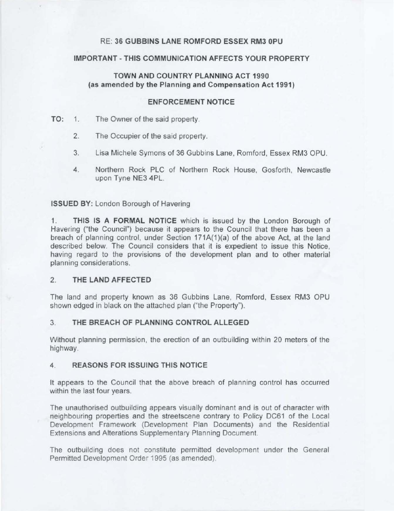# RE: **36 GUBBINS LANE ROMFORD ESSEX RM3 0PU**

# **IMPORTANT -THIS COMMUNICATION AFFECTS YOUR PROPERTY**

# **TOWN AND COUNTRY PLANNING ACT 1990 (as amended by the Planning and Compensation Act 1991)**

# **ENFORCEMENT NOTICE**

# **TO:** 1. The Owner of the said property.

- 2. The Occupier of the said property.
- 3. Lisa Michele Symons of 36 Gubbins Lane, Romford, Essex RM3 OPU.
- 4. Northern Rock PLC of Northern Rock House, Gosforth, Newcastle upon Tyne NE3 4PL.

# **ISSUED BY:** London Borough of Havering

1. **THIS IS A FORMAL NOTICE** which is issued by the London Borough of Havering ("the Council") because it appears to the Council that there has been a breach of planning control, under Section 171A(1)(a) of the above Act, at the land described below. The Council considers that it is expedient to issue this Notice, having regard to the provisions of the development plan and to other material planning considerations.

# 2. **THE LAND AFFECTED**

The land and property known as 36 Gubbins Lane, Romford, Essex RM3 OPU shown edged in black on the attached plan ("the Property").

# 3. **THE BREACH OF PLANNING CONTROL ALLEGED**

Without planning permission, the erection of an outbuilding within 20 meters of the highway.

# **4. REASONS FOR ISSUING THIS NOTICE**

It appears to the Council that the above breach of planning control has occurred within the last four years.

The unauthorised outbuilding appears visually dominant and is out of character with neighbouring properties and the streetscene contrary to Policy DC61 of the Local Development Framework (Development Plan Documents) and the Residential Extensions and Alterations Supplementary Planning Document.

The outbuilding does not constitute permitted development under the General Permitted Development Order 1995 (as amended).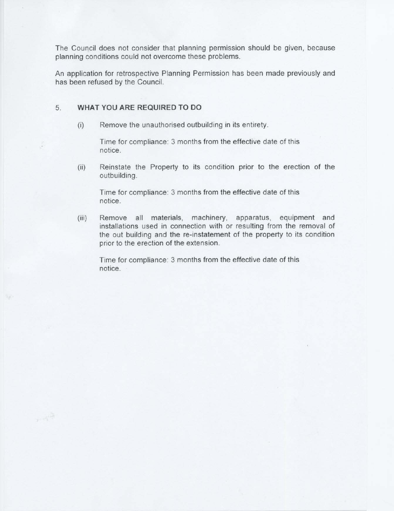The Council does not consider that planning permission should be given, because planning conditions could not overcome these problems.

An application for retrospective Planning Permission has been made previously and has been refused by the Council.

### 5. **WHAT YOU ARE REQUIRED TO DO**

(i) Remove the unauthorised outbuilding in its entirety.

Time for compliance: 3 months from the effective date of this notice.

(ii) Reinstate the Property to its condition prior to the erection of the outbuilding.

Time for compliance: 3 months from the effective date of this notice.

(iii) Remove all materials, machinery, apparatus, equipment and installations used in connection with or resulting from the removal of the out building and the re-instatement of the property to its condition prior to the erection of the extension.

Time for compliance: 3 months from the effective date of this notice.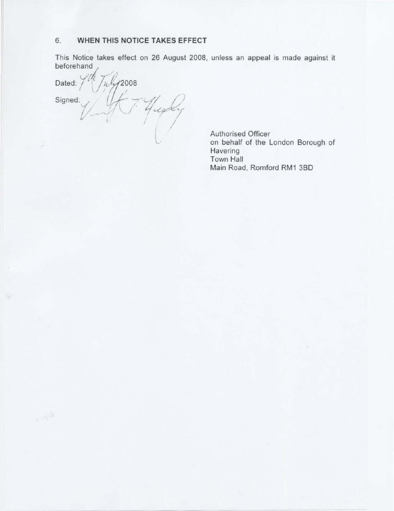# 6. **WHEN THIS NOTICE TAKES EFFECT**

This Notice takes effect on 26 August 2008, unless an appeal is made against it

beforehand<br>Dated: **Dated:** / '1'/(1,, ' **<sup>2008</sup>**. ,- Signed:  $Y$ /  $Y$  $, 44$ ( Vny 2000)<br>Your Highly I *I I I* 

Authorised Officer on behalf of the London Borough of **Havering** Town Hall Main Road, Romford RM1 38D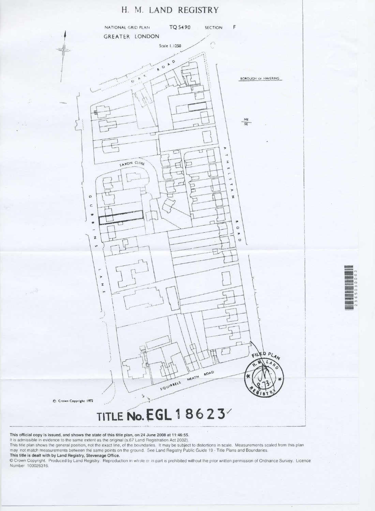# **H. M. LAND REGISTRY**





C Crown Copyright 1972

 $\sim \Lambda^{1/2}$ 



# \_\_ --·---------.~~-- -,...,\_\_\_ ..\_\_ \_\_ \_\_,\_··--· - . ..-- ------.. - \_.....--------•-·-•----.-J

#### **This official copy is issued, and shows the state of this title plan, on 24 June 2008 at 11 :46:55.**

It is admissible in evidence to the same extent as the original (s.67 Land Registration Act 2002).

This title plan shows the general position, not the exact line, of the boundaries. It may be subject to distortions in scale. Measurements scaled from this plan may not match measurements between the same points on the ground. See Land Registry Public Guide 19 · Title Plans and Boundaries.

#### **This title is dealt with by Land Registry, Stevenage Office.**

© Crown Copyright. Produced by Land Registry. Reproduction in wh·Jle o: in part Is prohibited without the prior written permission of Ordnance Survey. Licence Number 100026316.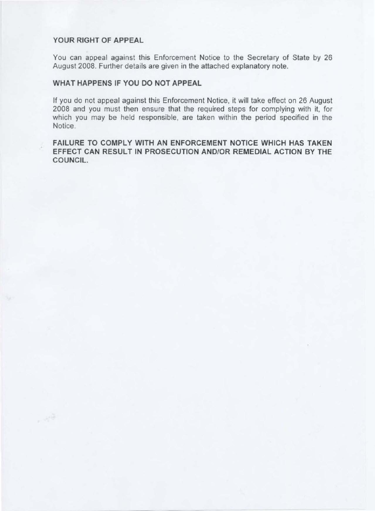# **YOUR RIGHT OF APPEAL**

You can appeal against this Enforcement Notice to the Secretary of State by 26 August 2008. Further details are given in the attached explanatory note.

# **WHAT HAPPENS IF YOU DO NOT APPEAL**

If you do not appeal against this Enforcement Notice, it will take effect on 26 August 2008 and you must then ensure that the required steps for complying with it, for which you may be held responsible, are taken within the period specified in the Notice.

**FAILURE TO COMPLY WITH AN ENFORCEMENT NOTICE WHICH HAS TAKEN EFFECT CAN RESULT IN PROSECUTION AND/OR REMEDIAL ACTION BY THE COUNCIL.**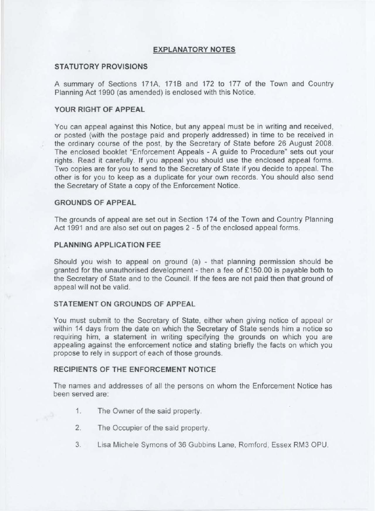# **EXPLANATORY NOTES**

# **STATUTORY PROVISIONS**

A summary of Sections 171A, 171B and 172 to 177 of the Town and Country Planning Act 1990 (as amended) is enclosed with this Notice.

# **YOUR RIGHT OF APPEAL**

You can appeal against this Notice, but any appeal must be in writing and received, or posted (with the postage paid and properly addressed) in time to be received in the ordinary course of the post, by the Secretary of State before 26 August 2008. The enclosed booklet "Enforcement Appeals - A guide to Procedure" sets out your rights. Read it carefully. If you appeal you should use the enclosed appeal forms. Two copies are for you to send to the Secretary of State if you decide to appeal. The other is for you to keep as a duplicate for your own records. You should also send the Secretary of State a copy of the Enforcement Notice.

# **GROUNDS OF APPEAL**

The grounds of appeal are set out in Section 174 of the Town and Country Planning Act 1991 and are also set out on pages 2 - 5 of the enclosed appeal forms.

#### **PLANNING APPLICATION FEE**

Should you wish to appeal on ground (a) - that planning permission should be granted for the unauthorised development - then a fee of £150.00 is payable both to the Secretary of State and to the Council. If the fees are not paid then that ground of appeal will not be valid.

#### **STATEMENT ON GROUNDS OF APPEAL**

You must submit to the Secretary of State, either when giving notice of appeal or within 14 days from the date on which the Secretary of State sends him a notice so requiring him, a statement in writing specifying the grounds on which you are appealing against the enforcement notice and stating briefly the facts on which you propose to rely in support of each of those grounds.

# **RECIPIENTS OF THE ENFORCEMENT NOTICE**

The names and addresses of all the persons on whom the Enforcement Notice has been served are:

- 1. The Owner of the said property.
- 2. The Occupier of the said property.
- 3. Lisa Michele Symons of 36 Gubbins Lane, Romford, Essex RM3 OPU